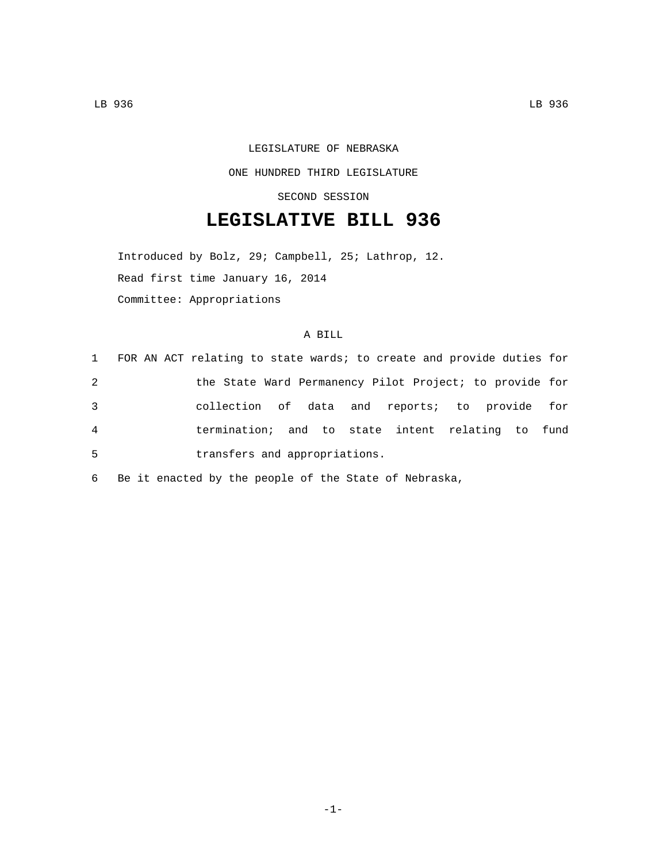## LEGISLATURE OF NEBRASKA ONE HUNDRED THIRD LEGISLATURE

SECOND SESSION

## **LEGISLATIVE BILL 936**

Introduced by Bolz, 29; Campbell, 25; Lathrop, 12. Read first time January 16, 2014 Committee: Appropriations

## A BILL

| 1              | FOR AN ACT relating to state wards; to create and provide duties for |
|----------------|----------------------------------------------------------------------|
| 2              | the State Ward Permanency Pilot Project; to provide for              |
| 3              | collection of data and reports; to provide for                       |
| $\overline{4}$ | termination; and to state intent relating to fund                    |
| 5              | transfers and appropriations.                                        |

6 Be it enacted by the people of the State of Nebraska,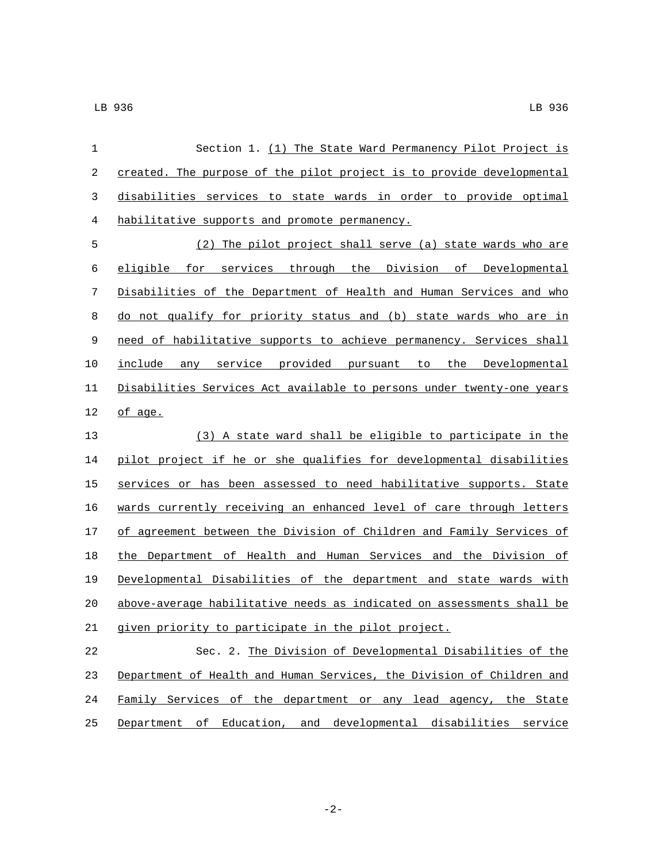| 1          | Section 1. (1) The State Ward Permanency Pilot Project is             |
|------------|-----------------------------------------------------------------------|
| $\sqrt{2}$ | created. The purpose of the pilot project is to provide developmental |
| 3          | disabilities services to state wards in order to provide optimal      |
| 4          | habilitative supports and promote permanency.                         |
| 5          | (2) The pilot project shall serve (a) state wards who are             |
| 6          | eligible for services through the Division of Developmental           |
| 7          | Disabilities of the Department of Health and Human Services and who   |
| 8          | do not qualify for priority status and (b) state wards who are in     |
| 9          | need of habilitative supports to achieve permanency. Services shall   |
| 10         | include any service provided pursuant to the Developmental            |
| 11         | Disabilities Services Act available to persons under twenty-one years |
| 12         | of age.                                                               |
| 13         | (3) A state ward shall be eligible to participate in the              |
| 14         | pilot project if he or she qualifies for developmental disabilities   |
| 15         | services or has been assessed to need habilitative supports. State    |
| 16         | wards currently receiving an enhanced level of care through letters   |
| $17$       | of agreement between the Division of Children and Family Services of  |
| 18         | the Department of Health and Human Services and the Division of       |
| 19         | Developmental Disabilities of the department and state wards with     |
| 20         | above-average habilitative needs as indicated on assessments shall be |
| 21         | given priority to participate in the pilot project.                   |
| 22         | Sec. 2. The Division of Developmental Disabilities of the             |
| 23         | Department of Health and Human Services, the Division of Children and |
| 24         | Family Services of the department or any lead agency, the State       |
| 25         | Department of Education, and developmental disabilities service       |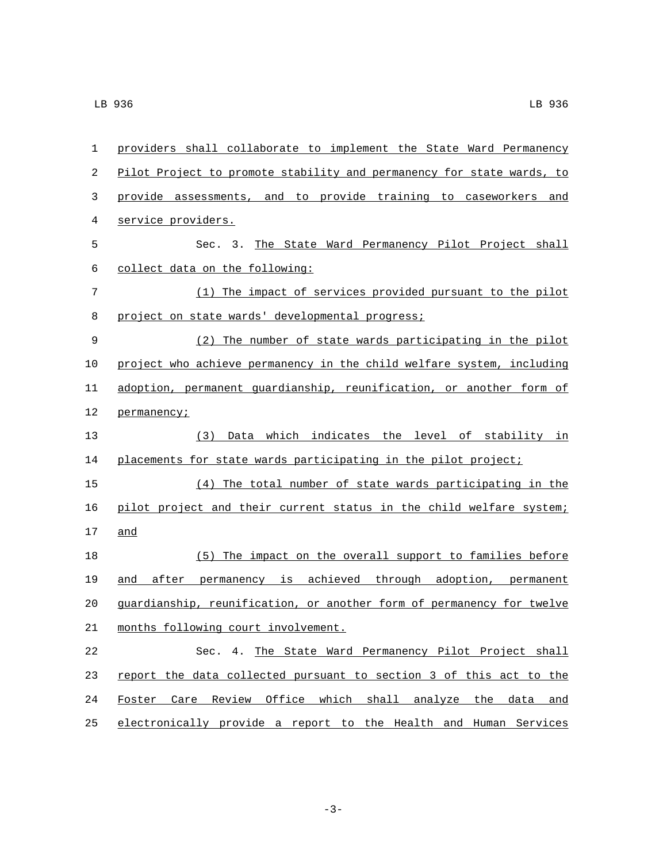| $\mathbf{1}$ | providers shall collaborate to implement the State Ward Permanency    |
|--------------|-----------------------------------------------------------------------|
| 2            | Pilot Project to promote stability and permanency for state wards, to |
| 3            | provide assessments, and to provide training to caseworkers and       |
| 4            | service providers.                                                    |
| 5            | Sec. 3. The State Ward Permanency Pilot Project shall                 |
| 6            | collect data on the following:                                        |
| 7            | (1) The impact of services provided pursuant to the pilot             |
| 8            | project on state wards' developmental progress;                       |
| $\mathsf 9$  | (2) The number of state wards participating in the pilot              |
| 10           | project who achieve permanency in the child welfare system, including |
| 11           | adoption, permanent guardianship, reunification, or another form of   |
| 12           | permanency;                                                           |
| 13           | (3) Data which indicates the level of stability in                    |
| 14           | placements for state wards participating in the pilot project;        |
| 15           | (4) The total number of state wards participating in the              |
| 16           | pilot project and their current status in the child welfare system;   |
| 17           | and                                                                   |
| 18           | (5) The impact on the overall support to families before              |
| 19           | and after permanency is achieved through adoption, permanent          |
| 20           | guardianship, reunification, or another form of permanency for twelve |
| 21           | months following court involvement.                                   |
| 22           | Sec. 4. The State Ward Permanency Pilot Project shall                 |
| 23           | report the data collected pursuant to section 3 of this act to the    |
| 24           | Foster Care Review Office which shall analyze the data and            |
| 25           | electronically provide a report to the Health and Human Services      |